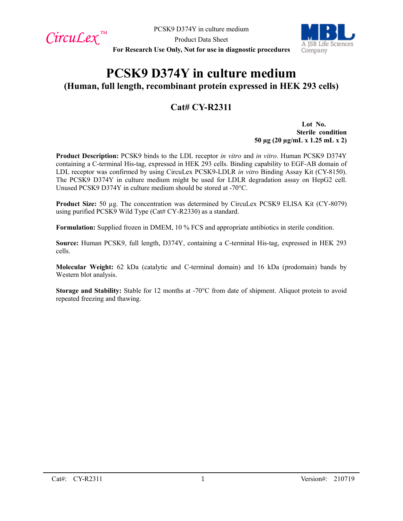$Circu$ *Lex*™

PCSK9 D374Y in culture medium

Product Data Sheet



**For Research Use Only, Not for use in diagnostic procedures**

# **PCSK9 D374Y in culture medium (Human, full length, recombinant protein expressed in HEK 293 cells)**

## **Cat# CY-R2311**

**Lot No. Sterile condition 50 µg (20 µg/mL x 1.25 mL x 2)**

**Product Description:** PCSK9 binds to the LDL receptor *in vitro* and *in vitro*. Human PCSK9 D374Y containing a C-terminal His-tag, expressed in HEK 293 cells. Binding capability to EGF-AB domain of LDL receptor was confirmed by using CircuLex PCSK9-LDLR *in vitro* Binding Assay Kit (CY-8150). The PCSK9 D374Y in culture medium might be used for LDLR degradation assay on HepG2 cell. Unused PCSK9 D374Y in culture medium should be stored at -70°C.

**Product Size:** 50 µg. The concentration was determined by CircuLex PCSK9 ELISA Kit (CY-8079) using purified PCSK9 Wild Type (Cat# CY-R2330) as a standard.

**Formulation:** Supplied frozen in DMEM, 10 % FCS and appropriate antibiotics in sterile condition.

**Source:** Human PCSK9, full length, D374Y, containing a C-terminal His-tag, expressed in HEK 293 cells.

**Molecular Weight:** 62 kDa (catalytic and C-terminal domain) and 16 kDa (prodomain) bands by Western blot analysis.

**Storage and Stability:** Stable for 12 months at -70°C from date of shipment. Aliquot protein to avoid repeated freezing and thawing.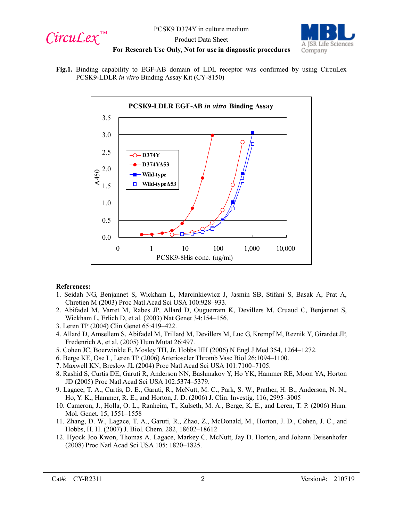



## **For Research Use Only, Not for use in diagnostic procedures**

**Fig.1.** Binding capability to EGF-AB domain of LDL receptor was confirmed by using CircuLex PCSK9-LDLR *in vitro* Binding Assay Kit (CY-8150)



### **References:**

- 1. Seidah NG, Benjannet S, Wickham L, Marcinkiewicz J, Jasmin SB, Stifani S, Basak A, Prat A, Chretien M (2003) Proc Natl Acad Sci USA 100:928–933.
- 2. Abifadel M, Varret M, Rabes JP, Allard D, Ouguerram K, Devillers M, Cruaud C, Benjannet S, Wickham L, Erlich D, et al. (2003) Nat Genet 34:154–156.
- 3. Leren TP (2004) Clin Genet 65:419–422.
- 4. Allard D, Amsellem S, Abifadel M, Trillard M, Devillers M, Luc G, Krempf M, Reznik Y, Girardet JP, Fredenrich A, et al. (2005) Hum Mutat 26:497.
- 5. Cohen JC, Boerwinkle E, Mosley TH, Jr, Hobbs HH (2006) N Engl J Med 354, 1264–1272.
- 6. Berge KE, Ose L, Leren TP (2006) Arterioscler Thromb Vasc Biol 26:1094–1100.
- 7. Maxwell KN, Breslow JL (2004) Proc Natl Acad Sci USA 101:7100–7105.
- 8. Rashid S, Curtis DE, Garuti R, Anderson NN, Bashmakov Y, Ho YK, Hammer RE, Moon YA, Horton JD (2005) Proc Natl Acad Sci USA 102:5374–5379.
- 9. Lagace, T. A., Curtis, D. E., Garuti, R., McNutt, M. C., Park, S. W., Prather, H. B., Anderson, N. N., Ho, Y. K., Hammer, R. E., and Horton, J. D. (2006) J. Clin. Investig. 116, 2995–3005
- 10. Cameron, J., Holla, O. L., Ranheim, T., Kulseth, M. A., Berge, K. E., and Leren, T. P. (2006) Hum. Mol. Genet. 15, 1551–1558
- 11. Zhang, D. W., Lagace, T. A., Garuti, R., Zhao, Z., McDonald, M., Horton, J. D., Cohen, J. C., and Hobbs, H. H. (2007) J. Biol. Chem. 282, 18602–18612
- 12. Hyock Joo Kwon, Thomas A. Lagace, Markey C. McNutt, Jay D. Horton, and Johann Deisenhofer (2008) Proc Natl Acad Sci USA 105: 1820–1825.